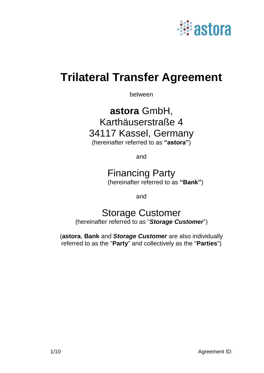

# **Trilateral Transfer Agreement**

between

## **astora** GmbH, Karthäuserstraße 4 34117 Kassel, Germany (hereinafter referred to as **"astora"**)

and

### Financing Party (hereinafter referred to as **"Bank"**)

and

# Storage Customer

(hereinafter referred to as "*Storage Customer*")

(**astora**, **Bank** and *Storage Customer* are also individually referred to as the "**Party**" and collectively as the "**Parties**")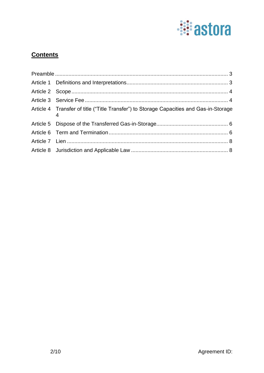

### **Contents**

| Article 4 Transfer of title ("Title Transfer") to Storage Capacities and Gas-in-Storage |  |
|-----------------------------------------------------------------------------------------|--|
|                                                                                         |  |
|                                                                                         |  |
|                                                                                         |  |
|                                                                                         |  |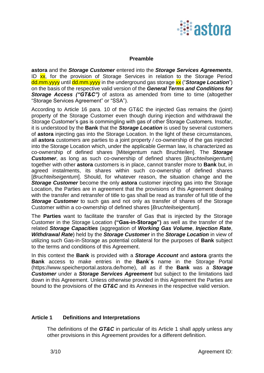

#### **Preamble**

<span id="page-2-0"></span>**astora** and the *Storage Customer* entered into the *Storage Services Agreements*, ID xx, for the provision of Storage Services in relation to the Storage Period dd.mm.yyyy until dd.mm.yyyy in the underground gas storage **xx** ("*Storage Location***"**) on the basis of the respective valid version of the *General Terms and Conditions for*  **Storage Access ("GT&C")** of astora as amended from time to time (altogether "Storage Services Agreement" or "SSA").

According to Article 16 para. 10 of the GT&C the injected Gas remains the (joint) property of the Storage Customer even though during injection and withdrawal the Storage Customer's gas is commingling with gas of other Storage Customers. Insofar, it is understood by the **Bank** that the *Storage Location* is used by several customers of **astora** injecting gas into the Storage Location. In the light of these circumstances, all **astora** customers are parties to a joint property / co-ownership of the gas injected into the Storage Location which, under the applicable German law, is characterized as co-ownership of defined shares [Miteigentum nach Bruchteilen]. The *Storage Customer*, as long as such co-ownership of defined shares [*Bruchteilseigentum*] together with other **astora** customers is in place, cannot transfer more to **Bank** but, in agreed instalments, its shares within such co-ownership of defined shares [*Bruchteilseigentum*]. Should, for whatever reason, the situation change and the *Storage Customer* become the only **astora** customer injecting gas into the Storage Location, the Parties are in agreement that the provisions of this Agreement dealing with the transfer and retransfer of title to gas shall be read as transfer of full title of the **Storage Customer** to such gas and not only as transfer of shares of the Storage Customer within a co-ownership of defined shares [*Bruchteilseigentum*].

The **Parties** want to facilitate the transfer of Gas that is injected by the Storage Customer in the Storage Location **("Gas-in-Storage")** as well as the transfer of the related *Storage Capacities* (aggregation of *Working Gas Volume*, *Injection Rate*, *Withdrawal Rate*) held by the *Storage Customer* in the *Storage Location* in view of utilizing such Gas-in-Storage as potential collateral for the purposes of **Bank** subject to the terms and conditions of this Agreement.

In this context the **Bank** is provided with a *Storage Account* and **astora** grants the **Bank** access to make entries in the **Bank´s** name in the Storage Portal (https://www.speicherportal.astora.de/home), all as if the **Bank** was a *Storage Customer* under a *Storage Services Agreement* but subject to the limitations laid down in this Agreement. Unless otherwise provided in this Agreement the Parties are bound to the provisions of the *GT&C* and its Annexes in the respective valid version.

#### <span id="page-2-1"></span>**Article 1 Definitions and Interpretations**

The definitions of the *GT&C* in particular of its Article 1 shall apply unless any other provisions in this Agreement provides for a different definition.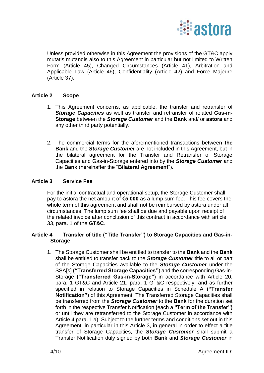

Unless provided otherwise in this Agreement the provisions of the GT&C apply mutatis mutandis also to this Agreement in particular but not limited to Written Form (Article 45), Changed Circumstances (Article 41), Arbitration and Applicable Law (Article 46), Confidentiality (Article 42) and Force Majeure (Article 37).

#### <span id="page-3-0"></span>**Article 2 Scope**

- 1. This Agreement concerns, as applicable, the transfer and retransfer of *Storage Capacities* as well as transfer and retransfer of related **Gas-in-Storage** between the *Storage Customer* and the **Bank** and/ or **astora** and any other third party potentially.
- 2. The commercial terms for the aforementioned transactions between **the Bank** and the *Storage Customer* are not included in this Agreement, but in the bilateral agreement for the Transfer and Retransfer of Storage Capacities and Gas-in-Storage entered into by the *Storage Customer* and the **Bank** (hereinafter the "**Bilateral Agreement**").

#### <span id="page-3-1"></span>**Article 3 Service Fee**

For the initial contractual and operational setup, the Storage Customer shall pay to astora the net amount of **€5.000** as a lump sum fee. This fee covers the whole term of this agreement and shall not be reimbursed by astora under all circumstances. The lump sum fee shall be due and payable upon receipt of the related invoice after conclusion of this contract in accordance with article 33, para. 1 of the **GT&C**.

#### <span id="page-3-2"></span>**Article 4 Transfer of title ("Title Transfer") to Storage Capacities and Gas-in-Storage**

1. The Storage Customer shall be entitled to transfer to the **Bank** and the **Bank** shall be entitled to transfer back to the *Storage Customer* title to all or part of the Storage Capacities available to the *Storage Customer* under the SSA[s] **("Transferred Storage Capacities"**) and the corresponding Gas-in-Storage **("Transferred Gas-in-Storage")** in accordance with Article 20, para. 1 GT&C and Article 21, para. 1 GT&C respectively, and as further specified in relation to Storage Capacities in Schedule A **("Transfer Notification")** of this Agreement. The Transferred Storage Capacities shall be transferred from the *Storage Customer* to the **Bank** for the duration set forth in the respective Transfer Notification **(**each a **"Term of the Transfer")** or until they are retransferred to the Storage Customer in accordance with Article 4 para. 1 a). Subject to the further terms and conditions set out in this Agreement, in particular in this Article 3, in general in order to effect a title transfer of Storage Capacities, the *Storage Customer* shall submit a Transfer Notification duly signed by both **Bank** and *Storage Customer* in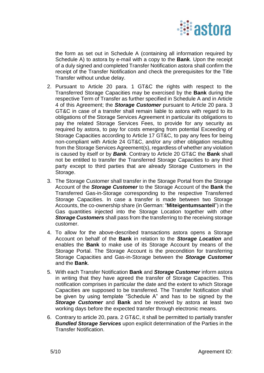

the form as set out in Schedule A (containing all information required by Schedule A) to astora by e-mail with a copy to the **Bank**. Upon the receipt of a duly signed and completed Transfer Notification astora shall confirm the receipt of the Transfer Notification and check the prerequisites for the Title Transfer without undue delay.

- 2. Pursuant to Article 20 para. 1 GT&C the rights with respect to the Transferred Storage Capacities may be exercised by the **Bank** during the respective Term of Transfer as further specified in Schedule A and in Article 4 of this Agreement; the *Storage Customer* pursuant to Article 20 para. 3 GT&C in case of a transfer shall remain liable to astora with regard to its obligations of the Storage Services Agreement in particular its obligations to pay the related Storage Services Fees, to provide for any security as required by astora, to pay for costs emerging from potential Exceeding of Storage Capacities according to Article 17 GT&C, to pay any fees for being non-compliant with Article 24 GT&C, and/or any other obligation resulting from the Storage Services Agreement(s), regardless of whether any violation is caused by itself or by *Bank*. Contrary to Article 20 GT&C the **Bank** shall not be entitled to transfer the Transferred Storage Capacities to any third party except to third parties that are already Storage Customers in the Storage.
- 3. The Storage Customer shall transfer in the Storage Portal from the Storage Account of the *Storage Customer* to the Storage Account of the **Bank** the Transferred Gas-in-Storage corresponding to the respective Transferred Storage Capacities. In case a transfer is made between two Storage Accounts, the co-ownership share (in German: "**Miteigentumsanteil**") in the Gas quantities injected into the Storage Location together with other *Storage Customers* shall pass from the transferring to the receiving storage customer.
- 4. To allow for the above-described transactions astora opens a Storage Account on behalf of the **Bank** in relation to the *Storage Location* and enables the **Bank** to make use of its Storage Account by means of the Storage Portal. The Storage Account is the precondition for transferring Storage Capacities and Gas-in-Storage between the *Storage Customer* and the **Bank**.
- 5. With each Transfer Notification **Bank** and *Storage Customer* inform astora in writing that they have agreed the transfer of Storage Capacities. This notification comprises in particular the date and the extent to which Storage Capacities are supposed to be transferred. The Transfer Notification shall be given by using template "Schedule A" and has to be signed by the *Storage Customer* and **Bank** and be received by astora at least two working days before the expected transfer through electronic means.
- 6. Contrary to article 20, para. 2 GT&C, it shall be permitted to partially transfer *Bundled Storage Services* upon explicit determination of the Parties in the Transfer Notification.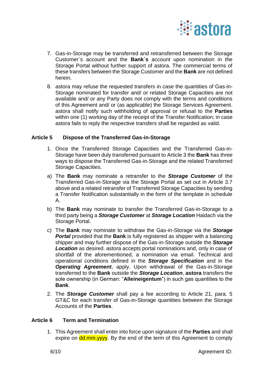

- 7. Gas-in-Storage may be transferred and retransferred between the Storage Customer´s account and the **Bank´s** account upon nomination in the Storage Portal without further support of astora. The commercial terms of these transfers between the Storage Customer and the **Bank** are not defined herein.
- 8. astora may refuse the requested transfers in case the quantities of Gas-in-Storage nominated for transfer and/ or related Storage Capacities are not available and/ or any Party does not comply with the terms and conditions of this Agreement and/ or (as applicable) the Storage Services Agreement. astora shall notify such withholding of approval or refusal to the **Parties** within one (1) working day of the receipt of the Transfer Notification; in case astora fails to reply the respective transfers shall be regarded as valid.

#### <span id="page-5-0"></span>**Article 5 Dispose of the Transferred Gas-in-Storage**

- 1. Once the Transferred Storage Capacities and the Transferred Gas-in-Storage have been duly transferred pursuant to Article 3 the **Bank** has three ways to dispose the Transferred Gas-in-Storage and the related Transferred Storage Capacities.
- a) The **Bank** may nominate a retransfer to the *Storage Customer* of the Transferred Gas-in-Storage via the Storage Portal as set out in Article 3.7 above and a related retransfer of Transferred Storage Capacities by sending a Transfer Notification substantially in the form of the template in schedule A.
- b) The **Bank** may nominate to transfer the Transferred Gas-in-Storage to a third party being a *Storage Customer* at *Storage Location* Haidach via the Storage Portal.
- c) The **Bank** may nominate to withdraw the Gas-in-Storage via the *Storage Portal* provided that the **Bank** is fully registered as shipper with a balancing shipper and may further dispose of the Gas-in-Storage outside the *Storage Location* as desired. astora accepts portal nominations and, only in case of shortfall of the aforementioned, a nomination via email. Technical and operational conditions defined in the *Storage Specification* and in the *Operating Agreement*, apply. Upon withdrawal of the Gas-in-Storage transferred to the **Bank** outside the *Storage Location*, **astora** transfers the sole ownership (in German: "**Alleineigentum**") in such gas quantities to the **Bank**.
- 2. The *Storage Customer* shall pay a fee according to Article 21, para. 5 GT&C for each transfer of Gas-in-Storage quantities between the Storage Accounts of the **Parties**.

#### <span id="page-5-1"></span>**Article 6 Term and Termination**

1. This Agreement shall enter into force upon signature of the **Parties** and shall expire on **dd.mm.yyyy**. By the end of the term of this Agreement to comply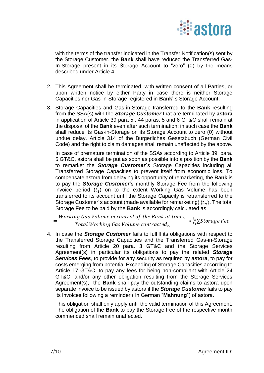

with the terms of the transfer indicated in the Transfer Notification(s) sent by the Storage Customer, the **Bank** shall have reduced the Transferred Gas-In-Storage present in its Storage Account to "zero" (0) by the means described under Article 4.

- 2. This Agreement shall be terminated, with written consent of all Parties, or upon written notice by either Party in case there is neither Storage Capacities nor Gas-in-Storage registered in **Bank**' s Storage Account.
- 3. Storage Capacities and Gas-in-Storage transferred to the **Bank** resulting from the SSA(s) with the *Storage Customer* that are terminated by **astora** in application of Article 39 para 5., 44 paras. 5 and 6 GT&C shall remain at the disposal of the **Bank** even after such termination; in such case the **Bank** shall reduce its Gas-in-Storage on its Storage Account to zero (0) without undue delay. Article 314 of the Bürgerliches Gesetzbuch (German Civil Code) and the right to claim damages shall remain unaffected by the above.

In case of premature termination of the SSAs according to Article 39, para. 5 GT&C, astora shall be put as soon as possible into a position by the **Bank** to remarket the *Storage Customer*´s Storage Capacities including all Transferred Storage Capacities to prevent itself from economic loss. To compensate astora from delaying its opportunity of remarketing, the **Bank** is to pay the *Storage Customer*'s monthly Storage Fee from the following invoice period  $(t_1)$  on to the extent Working Gas Volume has been transferred to its account until the Storage Capacity is retransferred to the Storage Customer's account (made available for remarketing)  $(t_n)$ . The total Storage Fee to be paid by the **Bank** is accordingly calculated as

 $=\frac{Working Gas Volume in control of the Bank at time_{t_1}}{Total Volume Geal Volume event rate_{t_2}}$ *ig dus volume in control by the bunk at time<sub>t1</sub>*  $*$   ${}_{t_1}^{t_n}$   $\Sigma$  *storage Fee*<br>Total Working Gas Volume contracted<sub>t<sub>1</sub></sub>

4. In case the *Storage Customer* fails to fulfill its obligations with respect to the Transferred Storage Capacities and the Transferred Gas-in-Storage resulting from Article 20 para. 3 GT&C and the Storage Services Agreement(s) in particular its obligations to pay the related *Storage Services Fees*, to provide for any security as required by **astora**, to pay for costs emerging from potential Exceeding of Storage Capacities according to Article 17 GT&C, to pay any fees for being non-compliant with Article 24 GT&C, and/or any other obligation resulting from the Storage Services Agreement(s), the **Bank** shall pay the outstanding claims to astora upon separate invoice to be issued by astora if the *Storage Customer* fails to pay its invoices following a reminder ( in German "**Mahnung**") of astora.

This obligation shall only apply until the valid termination of this Agreement. The obligation of the **Bank** to pay the Storage Fee of the respective month commenced shall remain unaffected.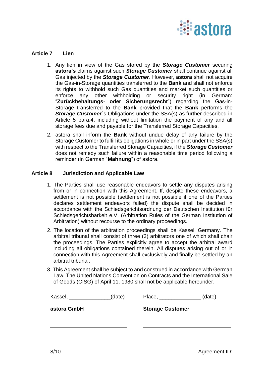

#### <span id="page-7-0"></span>**Article 7 Lien**

- 1. Any lien in view of the Gas stored by the *Storage Customer* securing **astora's** claims against such *Storage Customer* shall continue against all Gas injected by the *Storage Customer*. However, **astora** shall not acquire the Gas-in-Storage quantities transferred to the **Bank** and shall not enforce its rights to withhold such Gas quantities and market such quantities or enforce any other withholding or security right (in German: "**Zurückbehaltungs**- **oder Sicherungsrecht**") regarding the Gas-in-Storage transferred to the **Bank** provided that the **Bank** performs the **Storage Customer**'s Obligations under the SSA(s) as further described in Article 5 para.4, including without limitation the payment of any and all storage fees due and payable for the Transferred Storage Capacities.
- 2. astora shall inform the **Bank** without undue delay of any failure by the Storage Customer to fulfill its obligations in whole or in part under the SSA(s) with respect to the Transferred Storage Capacities, if the *Storage Customer* does not remedy such failure within a reasonable time period following a reminder (in German "**Mahnung**") of astora.

#### <span id="page-7-1"></span>**Article 8 Jurisdiction and Applicable Law**

- 1. The Parties shall use reasonable endeavors to settle any disputes arising from or in connection with this Agreement. If, despite these endeavors, a settlement is not possible (settlement is not possible if one of the Parties declares settlement endeavors failed) the dispute shall be decided in accordance with the Schiedsgerichtsordnung der Deutschen Institution für Schiedsgerichtsbarkeit e.V. (Arbitration Rules of the German Institution of Arbitration) without recourse to the ordinary proceedings.
- 2. The location of the arbitration proceedings shall be Kassel, Germany. The arbitral tribunal shall consist of three (3) arbitrators one of which shall chair the proceedings. The Parties explicitly agree to accept the arbitral award including all obligations contained therein. All disputes arising out of or in connection with this Agreement shall exclusively and finally be settled by an arbitral tribunal.
- 3. This Agreement shall be subject to and construed in accordance with German Law. The United Nations Convention on Contracts and the International Sale of Goods (CISG) of April 11, 1980 shall not be applicable hereunder.

| Kassel,     | (date) | Place,                  | (date) |
|-------------|--------|-------------------------|--------|
| astora GmbH |        | <b>Storage Customer</b> |        |
|             |        |                         |        |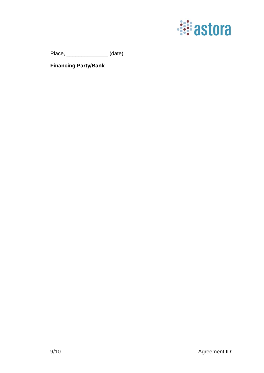

Place, \_\_\_\_\_\_\_\_\_\_\_\_\_\_ (date)

**Financing Party/Bank**